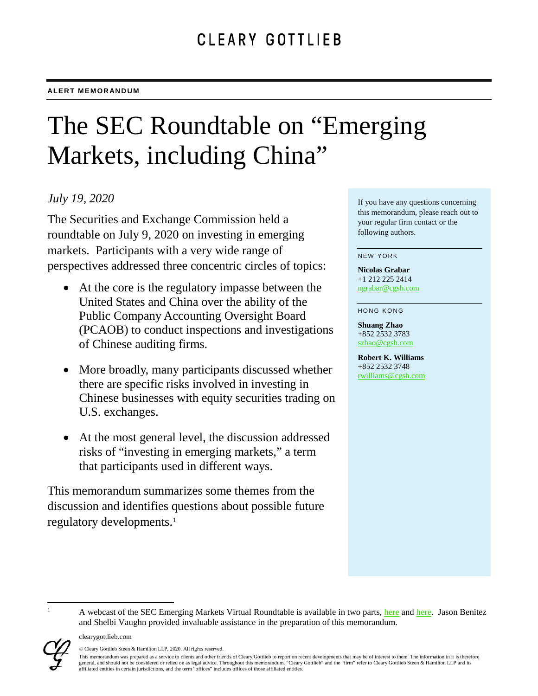# The SEC Roundtable on "Emerging Markets, including China"

## *July 19, 2020*

The Securities and Exchange Commission held a roundtable on July 9, 2020 on investing in emerging markets. Participants with a very wide range of perspectives addressed three concentric circles of topics:

- At the core is the regulatory impasse between the United States and China over the ability of the Public Company Accounting Oversight Board (PCAOB) to conduct inspections and investigations of Chinese auditing firms.
- More broadly, many participants discussed whether there are specific risks involved in investing in Chinese businesses with equity securities trading on U.S. exchanges.
- At the most general level, the discussion addressed risks of "investing in emerging markets," a term that participants used in different ways.

This memorandum summarizes some themes from the discussion and identifies questions about possible future regulatory developments.<sup>[1](#page-0-0)</sup>

If you have any questions concerning this memorandum, please reach out to your regular firm contact or the following authors.

NEW YORK

**Nicolas Grabar** +1 212 225 2414 [ngrabar@cgsh.com](mailto:ngrabar@cgsh.com)

#### HONG KONG

**Shuang Zhao** +852 2532 3783 [szhao@cgsh.com](mailto:szhao@cgsh.com)

**Robert K. Williams**  +852 2532 3748 [rwilliams@cgsh.com](mailto:rwilliams@cgsh.com)

<span id="page-0-0"></span>

<sup>©</sup> Cleary Gottlieb Steen & Hamilton LLP, 2020. All rights reserved.

clearygottlieb.com

This memorandum was prepared as a service to clients and other friends of Cleary Gottlieb to report on recent developments that may be of interest to them. The information in it is therefore general, and should not be considered or relied on as legal advice. Throughout this memorandum, "Cleary Gottlieb" and the "firm" refer to Cleary Gottlieb Steen & Hamilton LLP and its affiliated entities in certain jurisdictions, and the term "offices" includes offices of those affiliated entities.

and Shelbi Vaughn provided invaluable assistance in the preparation of this memorandum.

A webcast of the SEC Emerging Markets Virtual Roundtable is available in two parts, [here](https://www.sec.gov/video/webcast-archive-player.shtml?document_id=070920-emerging-markets-part1) and [here.](https://www.sec.gov/video/webcast-archive-player.shtml?document_id=070920-emerging-markets-part2) Jason Benitez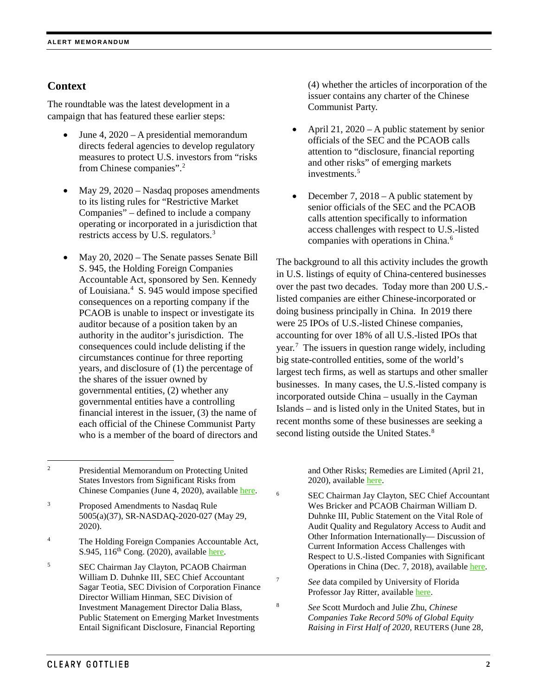## **Context**

The roundtable was the latest development in a campaign that has featured these earlier steps:

- June 4, 2020 A presidential memorandum directs federal agencies to develop regulatory measures to protect U.S. investors from "risks from Chinese companies"[.2](#page-1-0)
- May 29, 2020 Nasdaq proposes amendments to its listing rules for "Restrictive Market Companies" – defined to include a company operating or incorporated in a jurisdiction that restricts access by U.S. regulators.<sup>[3](#page-1-1)</sup>
- May 20, 2020 The Senate passes Senate Bill S. 945, the Holding Foreign Companies Accountable Act, sponsored by Sen. Kennedy of Louisiana.<sup>[4](#page-1-2)</sup> S. 945 would impose specified consequences on a reporting company if the PCAOB is unable to inspect or investigate its auditor because of a position taken by an authority in the auditor's jurisdiction. The consequences could include delisting if the circumstances continue for three reporting years, and disclosure of (1) the percentage of the shares of the issuer owned by governmental entities, (2) whether any governmental entities have a controlling financial interest in the issuer, (3) the name of each official of the Chinese Communist Party who is a member of the board of directors and

<span id="page-1-2"></span><sup>4</sup> The Holding Foreign Companies Accountable Act, S.945,  $116^{th}$  Cong. (2020), availabl[e here.](https://www.congress.gov/bill/116th-congress/senate-bill/945/text)

<span id="page-1-6"></span><span id="page-1-5"></span><span id="page-1-3"></span><sup>5</sup> SEC Chairman Jay Clayton, PCAOB Chairman William D. Duhnke III, SEC Chief Accountant Sagar Teotia, SEC Division of Corporation Finance Director William Hinman, SEC Division of Investment Management Director Dalia Blass, Public Statement on Emerging Market Investments Entail Significant Disclosure, Financial Reporting

(4) whether the articles of incorporation of the issuer contains any charter of the Chinese Communist Party.

- April 21, 2020 A public statement by senior officials of the SEC and the PCAOB calls attention to "disclosure, financial reporting and other risks" of emerging markets investments.<sup>5</sup>
- December 7, 2018 A public statement by senior officials of the SEC and the PCAOB calls attention specifically to information access challenges with respect to U.S.-listed companies with operations in China. [6](#page-1-4)

The background to all this activity includes the growth in U.S. listings of equity of China-centered businesses over the past two decades. Today more than 200 U.S. listed companies are either Chinese-incorporated or doing business principally in China. In 2019 there were 25 IPOs of U.S.-listed Chinese companies, accounting for over 18% of all U.S.-listed IPOs that year.[7](#page-1-5) The issuers in question range widely, including big state-controlled entities, some of the world's largest tech firms, as well as startups and other smaller businesses. In many cases, the U.S.-listed company is incorporated outside China – usually in the Cayman Islands – and is listed only in the United States, but in recent months some of these businesses are seeking a second listing outside the United States.<sup>[8](#page-1-6)</sup>

> and Other Risks; Remedies are Limited (April 21, 2020), availabl[e here.](https://www.sec.gov/news/public-statement/emerging-market-investments-disclosure-reporting#_ednref12)

<sup>6</sup> SEC Chairman Jay Clayton, SEC Chief Accountant Wes Bricker and PCAOB Chairman William D. Duhnke III, Public Statement on the Vital Role of Audit Quality and Regulatory Access to Audit and Other Information Internationally— Discussion of Current Information Access Challenges with Respect to U.S.-listed Companies with Significant Operations in China (Dec. 7, 2018), available [here.](https://www.sec.gov/news/public-statement/statement-vital-role-audit-quality-and-regulatory-access-audit-and-other)

<sup>7</sup> *See* data compiled by University of Florida Professor Jay Ritter, available [here.](https://site.warrington.ufl.edu/ritter/files/IPOs2019Statistics.pdf)

<sup>8</sup> *See* Scott Murdoch and Julie Zhu, *Chinese Companies Take Record 50% of Global Equity Raising in First Half of 2020,* REUTERS (June 28,

<span id="page-1-0"></span> <sup>2</sup> Presidential Memorandum on Protecting United States Investors from Significant Risks from Chinese Companies (June 4, 2020), available [here.](https://www.whitehouse.gov/presidential-actions/memorandum-protecting-united-states-investors-significant-risks-chinese-companies/)

<span id="page-1-4"></span><span id="page-1-1"></span><sup>3</sup> Proposed Amendments to Nasdaq Rule 5005(a)(37), SR-NASDAQ-2020-027 (May 29, 2020).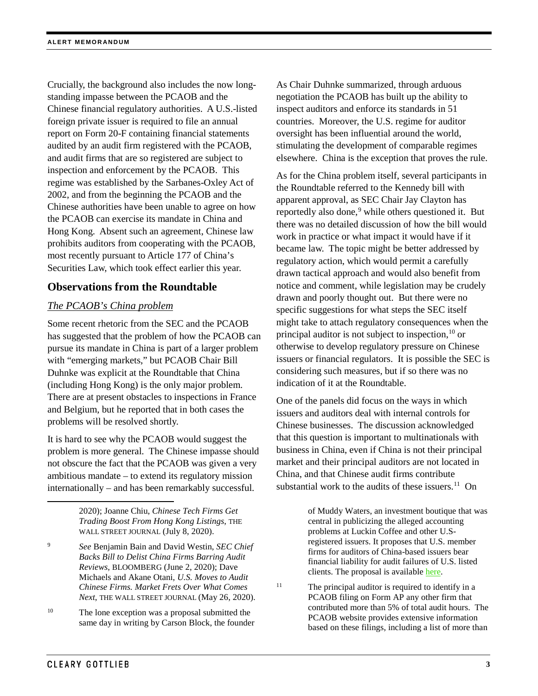Crucially, the background also includes the now longstanding impasse between the PCAOB and the Chinese financial regulatory authorities. A U.S.-listed foreign private issuer is required to file an annual report on Form 20-F containing financial statements audited by an audit firm registered with the PCAOB, and audit firms that are so registered are subject to inspection and enforcement by the PCAOB. This regime was established by the Sarbanes-Oxley Act of 2002, and from the beginning the PCAOB and the Chinese authorities have been unable to agree on how the PCAOB can exercise its mandate in China and Hong Kong. Absent such an agreement, Chinese law prohibits auditors from cooperating with the PCAOB, most recently pursuant to Article 177 of China's Securities Law, which took effect earlier this year.

## **Observations from the Roundtable**

## *The PCAOB's China problem*

Some recent rhetoric from the SEC and the PCAOB has suggested that the problem of how the PCAOB can pursue its mandate in China is part of a larger problem with "emerging markets," but PCAOB Chair Bill Duhnke was explicit at the Roundtable that China (including Hong Kong) is the only major problem. There are at present obstacles to inspections in France and Belgium, but he reported that in both cases the problems will be resolved shortly.

It is hard to see why the PCAOB would suggest the problem is more general. The Chinese impasse should not obscure the fact that the PCAOB was given a very ambitious mandate – to extend its regulatory mission internationally – and has been remarkably successful.

> 2020); Joanne Chiu, *Chinese Tech Firms Get Trading Boost From Hong Kong Listings*, THE WALL STREET JOURNAL (July 8, 2020).

- <span id="page-2-0"></span><sup>9</sup> *See* Benjamin Bain and David Westin, *SEC Chief Backs Bill to Delist China Firms Barring Audit Reviews*, BLOOMBERG (June 2, 2020); Dave Michaels and Akane Otani, *U.S. Moves to Audit Chinese Firms. Market Frets Over What Comes Next*, THE WALL STREET JOURNAL (May 26, 2020).
- <span id="page-2-2"></span><span id="page-2-1"></span><sup>10</sup> The lone exception was a proposal submitted the same day in writing by Carson Block, the founder

As Chair Duhnke summarized, through arduous negotiation the PCAOB has built up the ability to inspect auditors and enforce its standards in 51 countries. Moreover, the U.S. regime for auditor oversight has been influential around the world, stimulating the development of comparable regimes elsewhere. China is the exception that proves the rule.

As for the China problem itself, several participants in the Roundtable referred to the Kennedy bill with apparent approval, as SEC Chair Jay Clayton has reportedly also done,<sup>[9](#page-2-0)</sup> while others questioned it. But there was no detailed discussion of how the bill would work in practice or what impact it would have if it became law. The topic might be better addressed by regulatory action, which would permit a carefully drawn tactical approach and would also benefit from notice and comment, while legislation may be crudely drawn and poorly thought out. But there were no specific suggestions for what steps the SEC itself might take to attach regulatory consequences when the principal auditor is not subject to inspection,  $10$  or otherwise to develop regulatory pressure on Chinese issuers or financial regulators. It is possible the SEC is considering such measures, but if so there was no indication of it at the Roundtable.

One of the panels did focus on the ways in which issuers and auditors deal with internal controls for Chinese businesses. The discussion acknowledged that this question is important to multinationals with business in China, even if China is not their principal market and their principal auditors are not located in China, and that Chinese audit firms contribute substantial work to the audits of these issuers.<sup>11</sup> On

> of Muddy Waters, an investment boutique that was central in publicizing the alleged accounting problems at Luckin Coffee and other U.Sregistered issuers. It proposes that U.S. member firms for auditors of China-based issuers bear financial liability for audit failures of U.S. listed clients. The proposal is availabl[e here.](https://www.sec.gov/comments/emerging-markets/cll9-7400188-219069.pdf)

<sup>11</sup> The principal auditor is required to identify in a PCAOB filing on Form AP any other firm that contributed more than 5% of total audit hours. The PCAOB website provides extensive information based on these filings, including a list of more than

 $\overline{a}$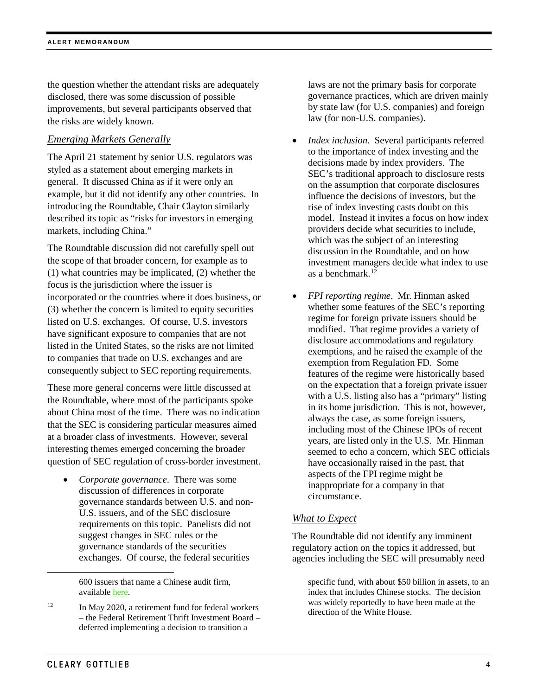the question whether the attendant risks are adequately disclosed, there was some discussion of possible improvements, but several participants observed that the risks are widely known.

## *Emerging Markets Generally*

The April 21 statement by senior U.S. regulators was styled as a statement about emerging markets in general. It discussed China as if it were only an example, but it did not identify any other countries. In introducing the Roundtable, Chair Clayton similarly described its topic as "risks for investors in emerging markets, including China."

The Roundtable discussion did not carefully spell out the scope of that broader concern, for example as to (1) what countries may be implicated, (2) whether the focus is the jurisdiction where the issuer is incorporated or the countries where it does business, or (3) whether the concern is limited to equity securities listed on U.S. exchanges. Of course, U.S. investors have significant exposure to companies that are not listed in the United States, so the risks are not limited to companies that trade on U.S. exchanges and are consequently subject to SEC reporting requirements.

These more general concerns were little discussed at the Roundtable, where most of the participants spoke about China most of the time. There was no indication that the SEC is considering particular measures aimed at a broader class of investments. However, several interesting themes emerged concerning the broader question of SEC regulation of cross-border investment.

• *Corporate governance*. There was some discussion of differences in corporate governance standards between U.S. and non-U.S. issuers, and of the SEC disclosure requirements on this topic. Panelists did not suggest changes in SEC rules or the governance standards of the securities exchanges. Of course, the federal securities

600 issuers that name a Chinese audit firm, available [here.](https://pcaobus.org/International/Pages/China-Referred-Work.aspx)

laws are not the primary basis for corporate governance practices, which are driven mainly by state law (for U.S. companies) and foreign law (for non-U.S. companies).

- *Index inclusion*. Several participants referred to the importance of index investing and the decisions made by index providers. The SEC's traditional approach to disclosure rests on the assumption that corporate disclosures influence the decisions of investors, but the rise of index investing casts doubt on this model. Instead it invites a focus on how index providers decide what securities to include, which was the subject of an interesting discussion in the Roundtable, and on how investment managers decide what index to use as a benchmark. [12](#page-3-0)
- *FPI reporting regime*. Mr. Hinman asked whether some features of the SEC's reporting regime for foreign private issuers should be modified. That regime provides a variety of disclosure accommodations and regulatory exemptions, and he raised the example of the exemption from Regulation FD. Some features of the regime were historically based on the expectation that a foreign private issuer with a U.S. listing also has a "primary" listing in its home jurisdiction. This is not, however, always the case, as some foreign issuers, including most of the Chinese IPOs of recent years, are listed only in the U.S. Mr. Hinman seemed to echo a concern, which SEC officials have occasionally raised in the past, that aspects of the FPI regime might be inappropriate for a company in that circumstance.

## *What to Expect*

The Roundtable did not identify any imminent regulatory action on the topics it addressed, but agencies including the SEC will presumably need

specific fund, with about \$50 billion in assets, to an index that includes Chinese stocks. The decision was widely reportedly to have been made at the direction of the White House.

 $\ddot{\phantom{a}}$ 

<span id="page-3-0"></span> $12$  In May 2020, a retirement fund for federal workers – the Federal Retirement Thrift Investment Board – deferred implementing a decision to transition a